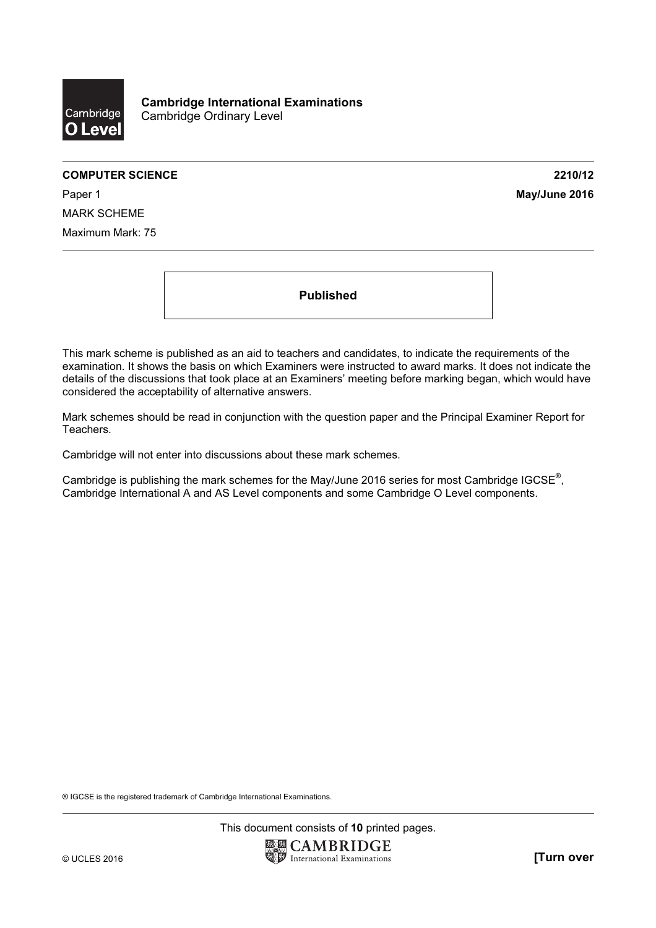

#### COMPUTER SCIENCE 2210/12

Paper 1 **May/June 2016** MARK SCHEME Maximum Mark: 75

Published

This mark scheme is published as an aid to teachers and candidates, to indicate the requirements of the examination. It shows the basis on which Examiners were instructed to award marks. It does not indicate the details of the discussions that took place at an Examiners' meeting before marking began, which would have considered the acceptability of alternative answers.

Mark schemes should be read in conjunction with the question paper and the Principal Examiner Report for Teachers.

Cambridge will not enter into discussions about these mark schemes.

Cambridge is publishing the mark schemes for the May/June 2016 series for most Cambridge IGCSE*®* , Cambridge International A and AS Level components and some Cambridge O Level components.

® IGCSE is the registered trademark of Cambridge International Examinations.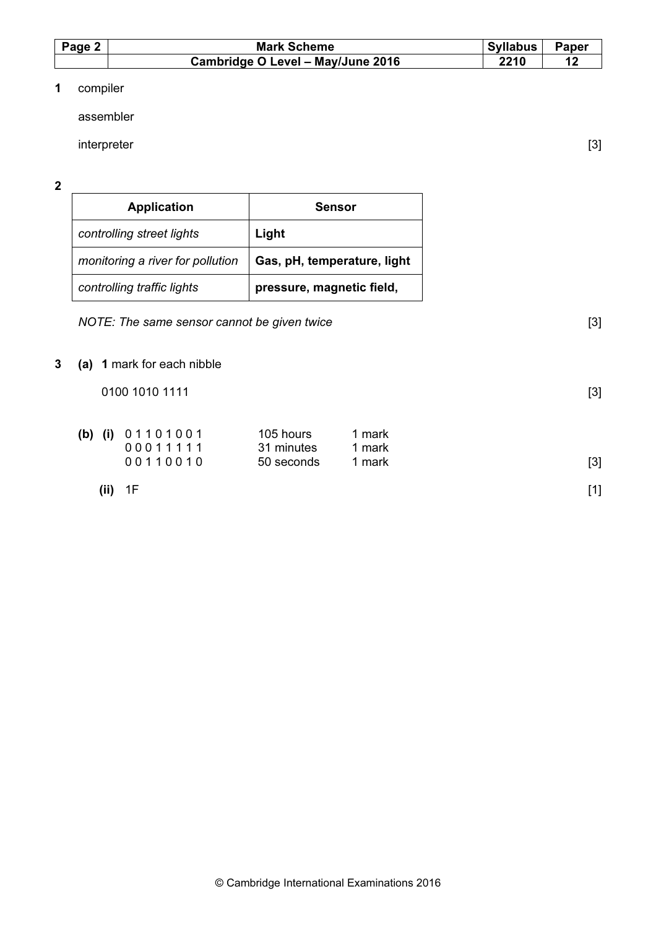| Page 2 | <b>Mark Scheme</b>                | Syllabus | Paper |
|--------|-----------------------------------|----------|-------|
|        | Cambridge O Level - May/June 2016 | 2210     |       |

# 1 compiler

assembler

interpreter [3]

2

| <b>Application</b>               | <b>Sensor</b>               |  |
|----------------------------------|-----------------------------|--|
| controlling street lights        | Light                       |  |
| monitoring a river for pollution | Gas, pH, temperature, light |  |
| controlling traffic lights       | pressure, magnetic field,   |  |

NOTE: The same sensor cannot be given twice  $[3]$ 

3 (a) 1 mark for each nibble

 $0100 1010 1111$  [3]

| (b) (i) $01101001$<br>00011111 | 105 hours<br>31 minutes | mark<br>mark |       |
|--------------------------------|-------------------------|--------------|-------|
| 00110010                       | 50 seconds              | mark         | $[3]$ |

(ii) 1F  $[1]$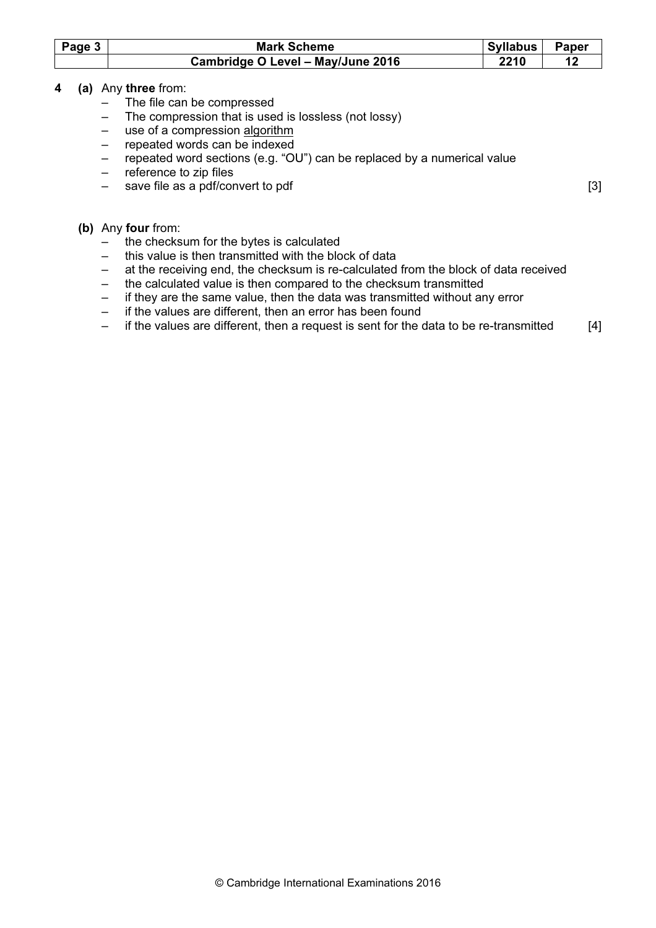| Page 3 | <b>Mark Scheme</b>                                                                                      | <b>Syllabus</b> | <b>Paper</b> |
|--------|---------------------------------------------------------------------------------------------------------|-----------------|--------------|
|        | Cambridge O Level - May/June 2016                                                                       | 2210            | 12           |
| 4      | (a) Any three from:                                                                                     |                 |              |
|        | The file can be compressed                                                                              |                 |              |
|        | The compression that is used is lossless (not lossy)                                                    |                 |              |
|        | use of a compression algorithm                                                                          |                 |              |
|        | repeated words can be indexed                                                                           |                 |              |
|        | repeated word sections (e.g. "OU") can be replaced by a numerical value                                 |                 |              |
|        | reference to zip files<br>$\overline{\phantom{0}}$                                                      |                 |              |
|        | save file as a pdf/convert to pdf                                                                       |                 | [3]          |
|        |                                                                                                         |                 |              |
|        | (b) Any four from:                                                                                      |                 |              |
|        | the checksum for the bytes is calculated                                                                |                 |              |
|        | this value is then transmitted with the block of data                                                   |                 |              |
|        | at the receiving end, the checksum is re-calculated from the block of data received                     |                 |              |
|        | the calculated value is then compared to the checksum transmitted<br>$\qquad \qquad -$                  |                 |              |
|        | if they are the same value, then the data was transmitted without any error<br>$\overline{\phantom{m}}$ |                 |              |
|        | if the values are different, then an error has been found                                               |                 |              |
|        | if the values are different, then a request is sent for the data to be re-transmitted                   |                 | [4]          |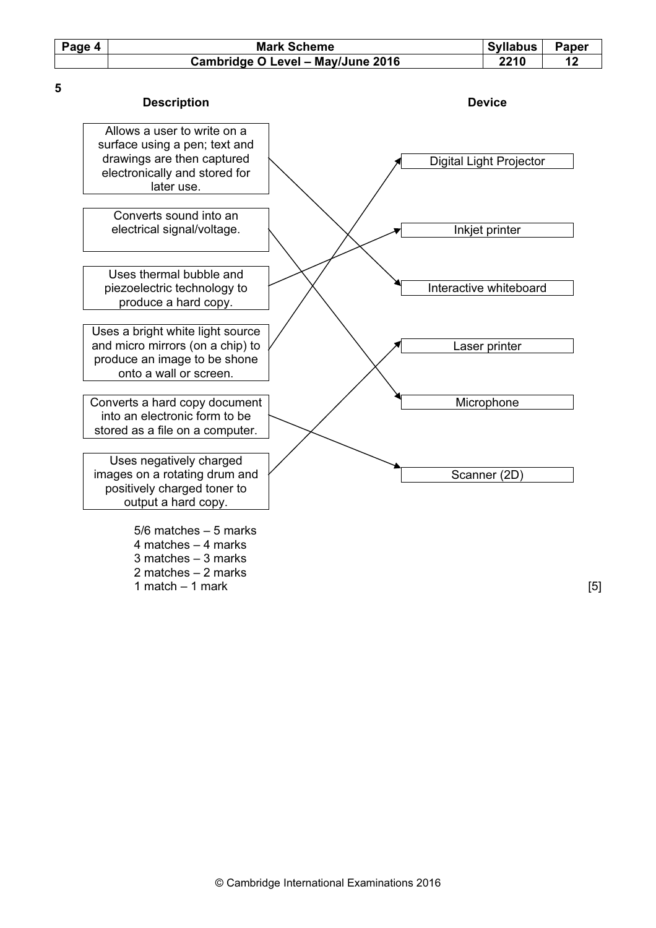| Page 4 | <b>Mark Scheme</b>                | <b>Syllabus</b> | Paper |
|--------|-----------------------------------|-----------------|-------|
|        | Cambridge O Level - May/June 2016 | 2210            |       |
|        |                                   |                 |       |

| <b>Description</b>                                                                                                                        | <b>Device</b>           |
|-------------------------------------------------------------------------------------------------------------------------------------------|-------------------------|
| Allows a user to write on a<br>surface using a pen; text and<br>drawings are then captured<br>electronically and stored for<br>later use. | Digital Light Projector |
| Converts sound into an<br>electrical signal/voltage.                                                                                      | Inkjet printer          |
| Uses thermal bubble and<br>piezoelectric technology to<br>produce a hard copy.                                                            | Interactive whiteboard  |
| Uses a bright white light source<br>and micro mirrors (on a chip) to<br>produce an image to be shone<br>onto a wall or screen.            | Laser printer           |
| Converts a hard copy document<br>into an electronic form to be<br>stored as a file on a computer.                                         | Microphone              |
| Uses negatively charged<br>images on a rotating drum and<br>positively charged toner to<br>output a hard copy.                            | Scanner (2D)            |
| $5/6$ matches $-5$ marks<br>4 matches $-$ 4 marks<br>$3$ matches $-3$ marks<br>2 matches $-2$ marks                                       |                         |

 $1$  match  $-1$  mark [5]

5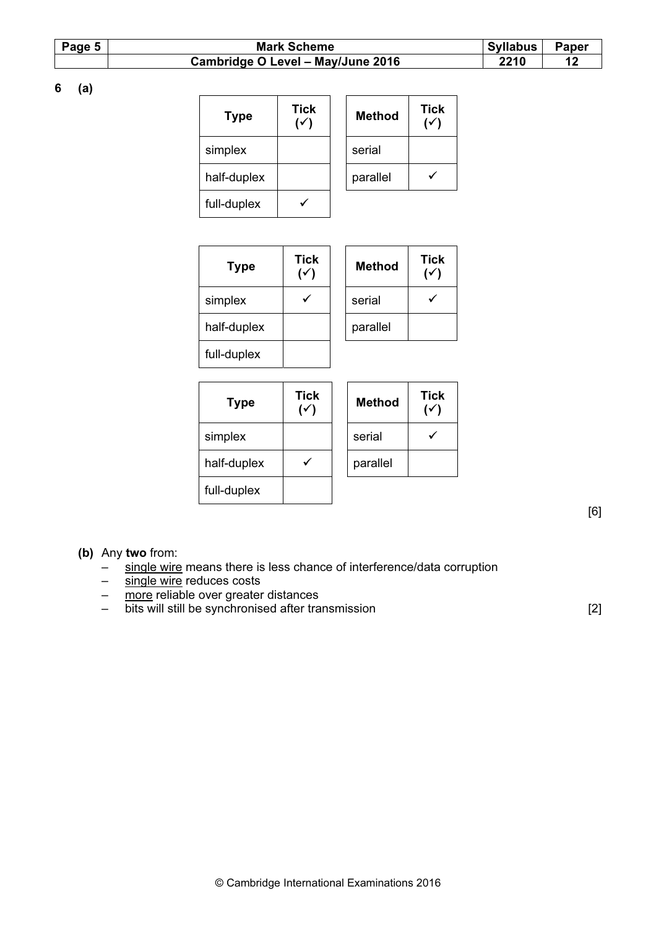| Page 5 | <b>Mark Scheme</b>                | Syllabus | <b>Paper</b> |
|--------|-----------------------------------|----------|--------------|
|        | Cambridge O Level - May/June 2016 | 2210     |              |

6 (a)

| <b>Type</b> | <b>Tick</b><br>$(\checkmark)$ |  | <b>Method</b> | <b>Tick</b><br>৻৴ |
|-------------|-------------------------------|--|---------------|-------------------|
| simplex     |                               |  | serial        |                   |
| half-duplex |                               |  | parallel      |                   |
| full-duplex |                               |  |               |                   |

| <b>Type</b> | <b>Tick</b><br>$(\checkmark)$ | <b>Method</b> | Tic |
|-------------|-------------------------------|---------------|-----|
| simplex     |                               | serial        |     |
| half-duplex |                               | parallel      |     |
| full-duplex |                               |               |     |

| <b>Fick</b><br>(√ | <b>Method</b> | <b>Tick</b> |
|-------------------|---------------|-------------|
|                   | serial        |             |
|                   | parallel      |             |
|                   |               |             |

| <b>Type</b> | <b>Tick</b> | <b>Method</b> | Tic |
|-------------|-------------|---------------|-----|
| simplex     |             | serial        |     |
| half-duplex |             | parallel      |     |
| full-duplex |             |               |     |

| Гісk<br>(√ | <b>Method</b> | <b>Tick</b> |
|------------|---------------|-------------|
|            | serial        |             |
|            | parallel      |             |

[6]

### (b) Any two from:

- $-\frac{1}{\pi}$  single wire means there is less chance of interference/data corruption  $-\frac{1}{\pi}$  single wire reduces costs
- single wire reduces costs
- more reliable over greater distances
- bits will still be synchronised after transmission [2]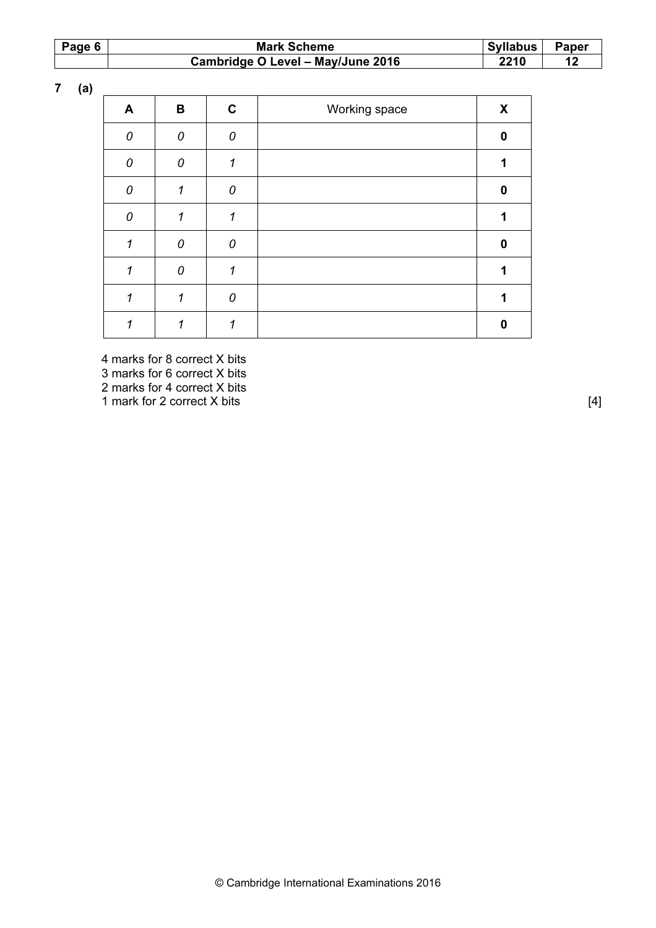| Page 6 $ $ | <b>Mark Scheme</b>                | Syllabus |  |  |  |
|------------|-----------------------------------|----------|--|--|--|
|            | Cambridge O Level - May/June 2016 | 2210     |  |  |  |

7 (a)

| A        | В              | $\mathbf c$ | Working space | X            |
|----------|----------------|-------------|---------------|--------------|
| $\Omega$ | 0              | 0           |               | $\bf{0}$     |
| $\theta$ | $\overline{0}$ | 1           |               | 1            |
| $\Omega$ |                | 0           |               | $\bf{0}$     |
| $\Omega$ | 1              | 1           |               | 1            |
| 1        | 0              | 0           |               | $\bf{0}$     |
| 1        | 0              | 1           |               | 1            |
|          | 1              | 0           |               | 1            |
|          |                | 1           |               | <sup>0</sup> |

 4 marks for 8 correct X bits 3 marks for 6 correct X bits 2 marks for 4 correct X bits 1 mark for 2 correct X bits [4]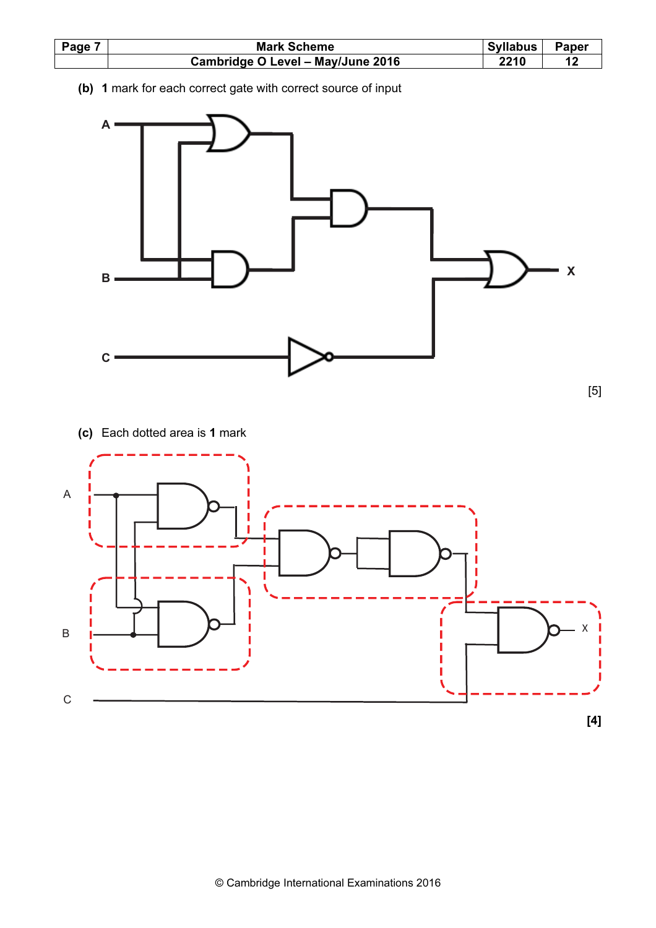

(b) 1 mark for each correct gate with correct source of input



(c) Each dotted area is 1 mark

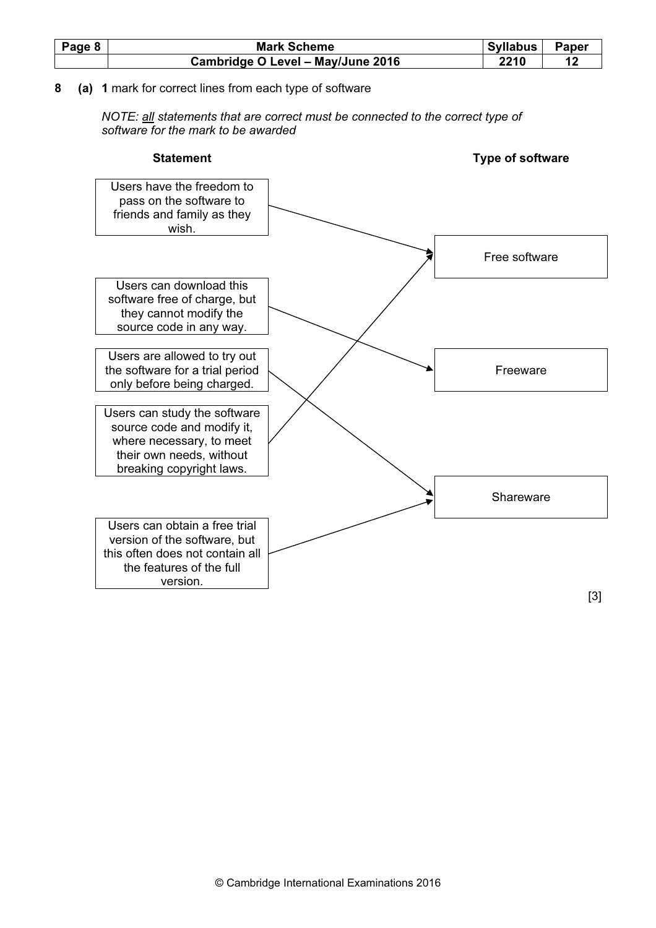| Page 8 | <b>Mark Scheme</b>                | <b>Syllabus</b> |  |  |
|--------|-----------------------------------|-----------------|--|--|
|        | Cambridge O Level - May/June 2016 | ?210            |  |  |

## 8 (a) 1 mark for correct lines from each type of software

NOTE: all statements that are correct must be connected to the correct type of software for the mark to be awarded

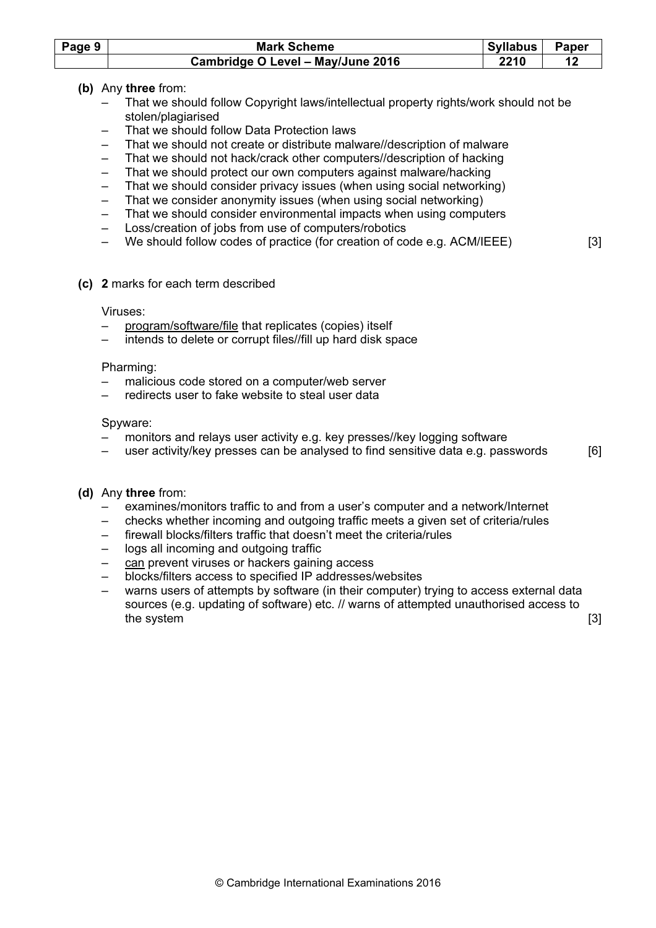| Page $9$ | <b>Mark Scheme</b>                | Syllabus | Paper |
|----------|-----------------------------------|----------|-------|
|          | Cambridge O Level - May/June 2016 | 2210     |       |

## (b) Any three from:

- That we should follow Copyright laws/intellectual property rights/work should not be stolen/plagiarised
- That we should follow Data Protection laws
- That we should not create or distribute malware//description of malware
- That we should not hack/crack other computers//description of hacking
- That we should protect our own computers against malware/hacking
- That we should consider privacy issues (when using social networking)
- That we consider anonymity issues (when using social networking)
- That we should consider environmental impacts when using computers
- Loss/creation of jobs from use of computers/robotics
- We should follow codes of practice (for creation of code e.g. ACM/IEEE) [3]
- (c) 2 marks for each term described

#### Viruses:

- program/software/file that replicates (copies) itself
- intends to delete or corrupt files//fill up hard disk space

### Pharming:

- malicious code stored on a computer/web server
- redirects user to fake website to steal user data

### Spyware:

- monitors and relays user activity e.g. key presses//key logging software
- user activity/key presses can be analysed to find sensitive data e.g. passwords  $[6]$

## (d) Any three from:

- examines/monitors traffic to and from a user's computer and a network/Internet
- checks whether incoming and outgoing traffic meets a given set of criteria/rules
- firewall blocks/filters traffic that doesn't meet the criteria/rules
- logs all incoming and outgoing traffic
- can prevent viruses or hackers gaining access
- blocks/filters access to specified IP addresses/websites
- warns users of attempts by software (in their computer) trying to access external data sources (e.g. updating of software) etc. // warns of attempted unauthorised access to the system in the system in the system in the system in the system in the system in the system in the system in the system in the system in the system in the system in the system in the system in the system in the system i